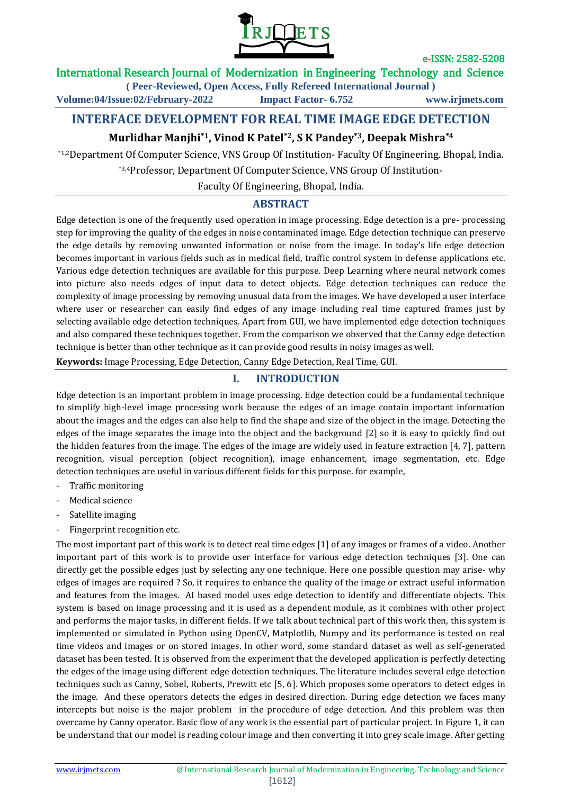

International Research Journal of Modernization in Engineering Technology and Science

**( Peer-Reviewed, Open Access, Fully Refereed International Journal )**

**Volume:04/Issue:02/February-2022 Impact Factor- 6.752 www.irjmets.com**

# **INTERFACE DEVELOPMENT FOR REAL TIME IMAGE EDGE DETECTION**

# **Murlidhar Manjhi\*1, Vinod K Patel\*2, S K Pandey\*3, Deepak Mishra\*4**

\*1,2Department Of Computer Science, VNS Group Of Institution- Faculty Of Engineering, Bhopal, India.

\*3,4Professor, Department Of Computer Science, VNS Group Of Institution-

Faculty Of Engineering, Bhopal, India.

# **ABSTRACT**

Edge detection is one of the frequently used operation in image processing. Edge detection is a pre- processing step for improving the quality of the edges in noise contaminated image. Edge detection technique can preserve the edge details by removing unwanted information or noise from the image. In today's life edge detection becomes important in various fields such as in medical field, traffic control system in defense applications etc. Various edge detection techniques are available for this purpose. Deep Learning where neural network comes into picture also needs edges of input data to detect objects. Edge detection techniques can reduce the complexity of image processing by removing unusual data from the images. We have developed a user interface where user or researcher can easily find edges of any image including real time captured frames just by selecting available edge detection techniques. Apart from GUI, we have implemented edge detection techniques and also compared these techniques together. From the comparison we observed that the Canny edge detection technique is better than other technique as it can provide good results in noisy images as well.

**Keywords:** Image Processing, Edge Detection, Canny Edge Detection, Real Time, GUI.

## **I. INTRODUCTION**

Edge detection is an important problem in image processing. Edge detection could be a fundamental technique to simplify high-level image processing work because the edges of an image contain important information about the images and the edges can also help to find the shape and size of the object in the image. Detecting the edges of the image separates the image into the object and the background [2] so it is easy to quickly find out the hidden features from the image. The edges of the image are widely used in feature extraction [4, 7], pattern recognition, visual perception (object recognition), image enhancement, image segmentation, etc. Edge detection techniques are useful in various different fields for this purpose. for example,

- Traffic monitoring
- Medical science
- Satellite imaging
- Fingerprint recognition etc.

The most important part of this work is to detect real time edges [1] of any images or frames of a video. Another important part of this work is to provide user interface for various edge detection techniques [3]. One can directly get the possible edges just by selecting any one technique. Here one possible question may arise- why edges of images are required ? So, it requires to enhance the quality of the image or extract useful information and features from the images. AI based model uses edge detection to identify and differentiate objects. This system is based on image processing and it is used as a dependent module, as it combines with other project and performs the major tasks, in different fields. If we talk about technical part of this work then, this system is implemented or simulated in Python using OpenCV, Matplotlib, Numpy and its performance is tested on real time videos and images or on stored images. In other word, some standard dataset as well as self-generated dataset has been tested. It is observed from the experiment that the developed application is perfectly detecting the edges of the image using different edge detection techniques. The literature includes several edge detection techniques such as Canny, Sobel, Roberts, Prewitt etc [5, 6]. Which proposes some operators to detect edges in the image. And these operators detects the edges in desired direction. During edge detection we faces many intercepts but noise is the major problem in the procedure of edge detection. And this problem was then overcame by Canny operator. Basic flow of any work is the essential part of particular project. In Figure 1, it can be understand that our model is reading colour image and then converting it into grey scale image. After getting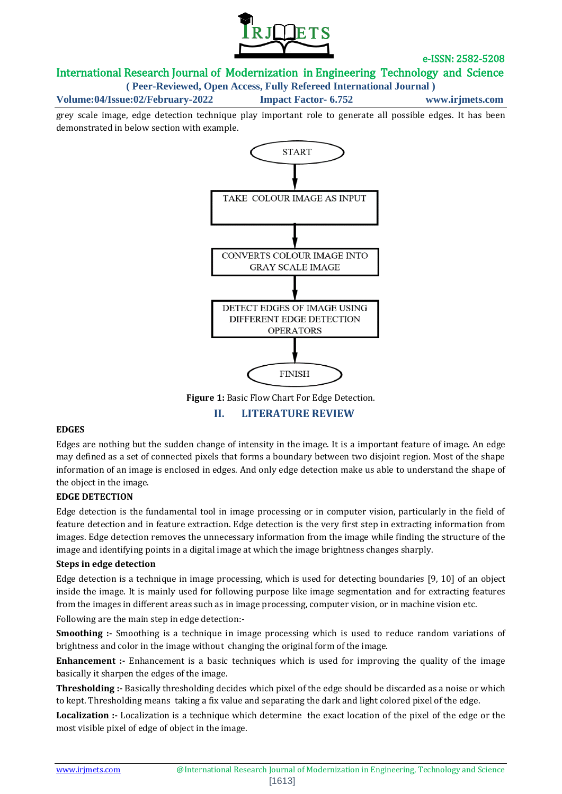

# International Research Journal of Modernization in Engineering Technology and Science

**( Peer-Reviewed, Open Access, Fully Refereed International Journal )**

**Volume:04/Issue:02/February-2022 Impact Factor- 6.752 www.irjmets.com**

grey scale image, edge detection technique play important role to generate all possible edges. It has been demonstrated in below section with example.



**II. LITERATURE REVIEW**

#### **EDGES**

Edges are nothing but the sudden change of intensity in the image. It is a important feature of image. An edge may defined as a set of connected pixels that forms a boundary between two disjoint region. Most of the shape information of an image is enclosed in edges. And only edge detection make us able to understand the shape of the object in the image.

### **EDGE DETECTION**

Edge detection is the fundamental tool in image processing or in computer vision, particularly in the field of feature detection and in feature extraction. Edge detection is the very first step in extracting information from images. Edge detection removes the unnecessary information from the image while finding the structure of the image and identifying points in a digital image at which the image brightness changes sharply.

#### **Steps in edge detection**

Edge detection is a technique in image processing, which is used for detecting boundaries [9, 10] of an object inside the image. It is mainly used for following purpose like image segmentation and for extracting features from the images in different areas such as in image processing, computer vision, or in machine vision etc.

Following are the main step in edge detection:-

**Smoothing :**- Smoothing is a technique in image processing which is used to reduce random variations of brightness and color in the image without changing the original form of the image.

**Enhancement :-** Enhancement is a basic techniques which is used for improving the quality of the image basically it sharpen the edges of the image.

**Thresholding :-** Basically thresholding decides which pixel of the edge should be discarded as a noise or which to kept. Thresholding means taking a fix value and separating the dark and light colored pixel of the edge.

**Localization :-** Localization is a technique which determine the exact location of the pixel of the edge or the most visible pixel of edge of object in the image.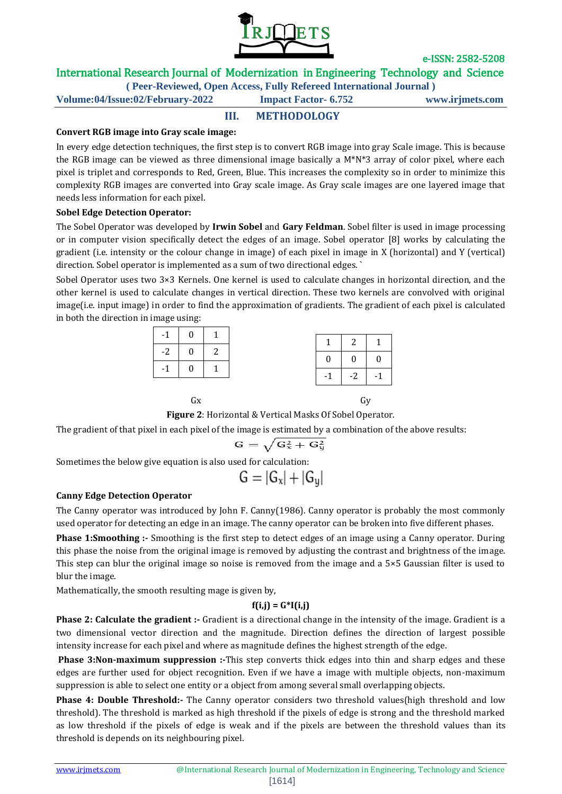

# International Research Journal of Modernization in Engineering Technology and Science

**( Peer-Reviewed, Open Access, Fully Refereed International Journal )**

**Volume:04/Issue:02/February-2022 Impact Factor- 6.752 www.irjmets.com**

## **III. METHODOLOGY**

### **Convert RGB image into Gray scale image:**

In every edge detection techniques, the first step is to convert RGB image into gray Scale image. This is because the RGB image can be viewed as three dimensional image basically a M\*N\*3 array of color pixel, where each pixel is triplet and corresponds to Red, Green, Blue. This increases the complexity so in order to minimize this complexity RGB images are converted into Gray scale image. As Gray scale images are one layered image that needs less information for each pixel.

### **Sobel Edge Detection Operator:**

The Sobel Operator was developed by **Irwin Sobel** and **Gary Feldman**. Sobel filter is used in image processing or in computer vision specifically detect the edges of an image. Sobel operator [8] works by calculating the gradient (i.e. intensity or the colour change in image) of each pixel in image in X (horizontal) and Y (vertical) direction. Sobel operator is implemented as a sum of two directional edges. `

Sobel Operator uses two 3×3 Kernels. One kernel is used to calculate changes in horizontal direction, and the other kernel is used to calculate changes in vertical direction. These two kernels are convolved with original image(i.e. input image) in order to find the approximation of gradients. The gradient of each pixel is calculated in both the direction in image using:

| $-1$ 0                                             | $\begin{array}{cc} \end{array}$ |
|----------------------------------------------------|---------------------------------|
|                                                    |                                 |
| $-2$ 0<br>$\begin{array}{cc} \text{2} \end{array}$ |                                 |
| $\mathbf{0}$<br>$\vert$ 1<br>$-1$                  |                                 |
|                                                    |                                 |

| Gx | Gy |
|----|----|
|----|----|

**Figure 2**: Horizontal & Vertical Masks Of Sobel Operator.

The gradient of that pixel in each pixel of the image is estimated by a combination of the above results:

$$
G=\sqrt{G_x^2+G_y^2}\,
$$

Sometimes the below give equation is also used for calculation:

$$
G=|G_x|+|G_y|
$$

### **Canny Edge Detection Operator**

The Canny operator was introduced by John F. Canny(1986). Canny operator is probably the most commonly used operator for detecting an edge in an image. The canny operator can be broken into five different phases.

**Phase 1:Smoothing :-** Smoothing is the first step to detect edges of an image using a Canny operator. During this phase the noise from the original image is removed by adjusting the contrast and brightness of the image. This step can blur the original image so noise is removed from the image and a 5×5 Gaussian filter is used to blur the image.

Mathematically, the smooth resulting mage is given by,

### **f(i,j) = G\*I(i,j)**

**Phase 2: Calculate the gradient :-** Gradient is a directional change in the intensity of the image. Gradient is a two dimensional vector direction and the magnitude. Direction defines the direction of largest possible intensity increase for each pixel and where as magnitude defines the highest strength of the edge.

**Phase 3:Non-maximum suppression :-**This step converts thick edges into thin and sharp edges and these edges are further used for object recognition. Even if we have a image with multiple objects, non-maximum suppression is able to select one entity or a object from among several small overlapping objects.

**Phase 4: Double Threshold:-** The Canny operator considers two threshold values(high threshold and low threshold). The threshold is marked as high threshold if the pixels of edge is strong and the threshold marked as low threshold if the pixels of edge is weak and if the pixels are between the threshold values than its threshold is depends on its neighbouring pixel.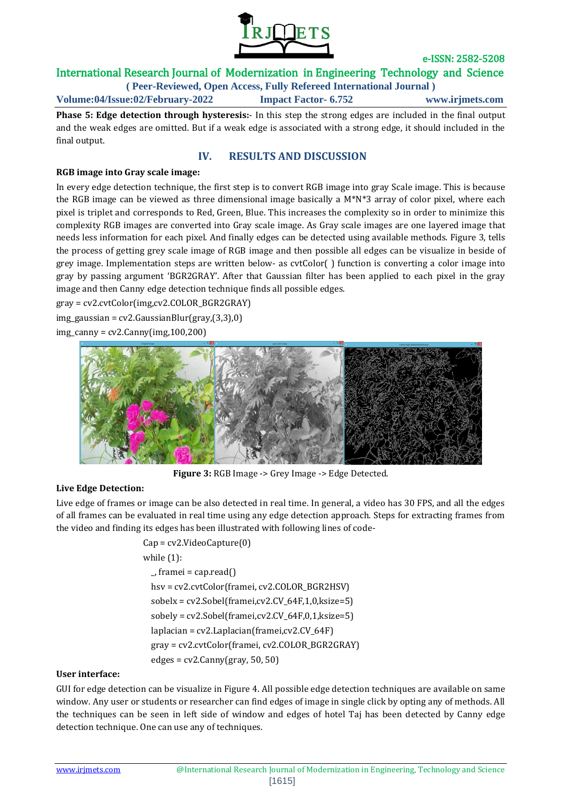

# International Research Journal of Modernization in Engineering Technology and Science

**( Peer-Reviewed, Open Access, Fully Refereed International Journal ) Volume:04/Issue:02/February-2022 Impact Factor- 6.752 www.irjmets.com**

**Phase 5: Edge detection through hysteresis:**- In this step the strong edges are included in the final output and the weak edges are omitted. But if a weak edge is associated with a strong edge, it should included in the final output.

### **IV. RESULTS AND DISCUSSION**

### **RGB image into Gray scale image:**

In every edge detection technique, the first step is to convert RGB image into gray Scale image. This is because the RGB image can be viewed as three dimensional image basically a M\*N\*3 array of color pixel, where each pixel is triplet and corresponds to Red, Green, Blue. This increases the complexity so in order to minimize this complexity RGB images are converted into Gray scale image. As Gray scale images are one layered image that needs less information for each pixel. And finally edges can be detected using available methods. Figure 3, tells the process of getting grey scale image of RGB image and then possible all edges can be visualize in beside of grey image. Implementation steps are written below- as cvtColor( ) function is converting a color image into gray by passing argument 'BGR2GRAY'. After that Gaussian filter has been applied to each pixel in the gray image and then Canny edge detection technique finds all possible edges.

gray = cv2.cvtColor(img,cv2.COLOR\_BGR2GRAY)

img\_gaussian = cv2.GaussianBlur(gray,(3,3),0)

img\_canny = cv2.Canny(img,100,200)



**Figure 3:** RGB Image -> Grey Image -> Edge Detected.

#### **Live Edge Detection:**

Live edge of frames or image can be also detected in real time. In general, a video has 30 FPS, and all the edges of all frames can be evaluated in real time using any edge detection approach. Steps for extracting frames from the video and finding its edges has been illustrated with following lines of code-

> Cap = cv2.VideoCapture(0) while (1):  $\lrcorner$  framei = cap.read() hsv = cv2.cvtColor(framei, cv2.COLOR\_BGR2HSV) sobelx = cv2.Sobel(framei,cv2.CV\_64F,1,0,ksize=5)  $sobely = cv2. Sobel(framei, cv2.CV_64F,0,1,ksize=5)$  laplacian = cv2.Laplacian(framei,cv2.CV\_64F) gray = cv2.cvtColor(framei, cv2.COLOR\_BGR2GRAY)  $edges = cv2.Canny(gray, 50, 50)$

#### **User interface:**

GUI for edge detection can be visualize in Figure 4. All possible edge detection techniques are available on same window. Any user or students or researcher can find edges of image in single click by opting any of methods. All the techniques can be seen in left side of window and edges of hotel Taj has been detected by Canny edge detection technique. One can use any of techniques.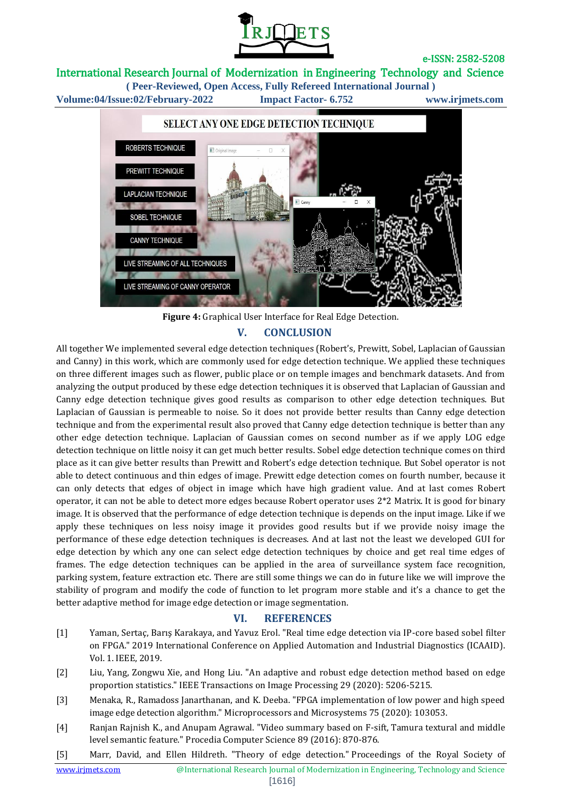

# International Research Journal of Modernization in Engineering Technology and Science

**( Peer-Reviewed, Open Access, Fully Refereed International Journal ) Volume:04/Issue:02/February-2022 Impact Factor- 6.752 www.irjmets.com**



**Figure 4:** Graphical User Interface for Real Edge Detection. **V. CONCLUSION**

All together We implemented several edge detection techniques (Robert's, Prewitt, Sobel, Laplacian of Gaussian and Canny) in this work, which are commonly used for edge detection technique. We applied these techniques on three different images such as flower, public place or on temple images and benchmark datasets. And from analyzing the output produced by these edge detection techniques it is observed that Laplacian of Gaussian and Canny edge detection technique gives good results as comparison to other edge detection techniques. But Laplacian of Gaussian is permeable to noise. So it does not provide better results than Canny edge detection technique and from the experimental result also proved that Canny edge detection technique is better than any other edge detection technique. Laplacian of Gaussian comes on second number as if we apply LOG edge detection technique on little noisy it can get much better results. Sobel edge detection technique comes on third place as it can give better results than Prewitt and Robert's edge detection technique. But Sobel operator is not able to detect continuous and thin edges of image. Prewitt edge detection comes on fourth number, because it can only detects that edges of object in image which have high gradient value. And at last comes Robert operator, it can not be able to detect more edges because Robert operator uses 2\*2 Matrix. It is good for binary image. It is observed that the performance of edge detection technique is depends on the input image. Like if we apply these techniques on less noisy image it provides good results but if we provide noisy image the performance of these edge detection techniques is decreases. And at last not the least we developed GUI for edge detection by which any one can select edge detection techniques by choice and get real time edges of frames. The edge detection techniques can be applied in the area of surveillance system face recognition, parking system, feature extraction etc. There are still some things we can do in future like we will improve the stability of program and modify the code of function to let program more stable and it's a chance to get the better adaptive method for image edge detection or image segmentation.

### **VI. REFERENCES**

- [1] Yaman, Sertaç, Barış Karakaya, and Yavuz Erol. "Real time edge detection via IP-core based sobel filter on FPGA." 2019 International Conference on Applied Automation and Industrial Diagnostics (ICAAID). Vol. 1. IEEE, 2019.
- [2] Liu, Yang, Zongwu Xie, and Hong Liu. "An adaptive and robust edge detection method based on edge proportion statistics." IEEE Transactions on Image Processing 29 (2020): 5206-5215.
- [3] Menaka, R., Ramadoss Janarthanan, and K. Deeba. "FPGA implementation of low power and high speed image edge detection algorithm." Microprocessors and Microsystems 75 (2020): 103053.
- [4] Ranjan Rajnish K., and Anupam Agrawal. "Video summary based on F-sift, Tamura textural and middle level semantic feature." Procedia Computer Science 89 (2016): 870-876.
- [5] Marr, David, and Ellen Hildreth. "Theory of edge detection." Proceedings of the Royal Society of